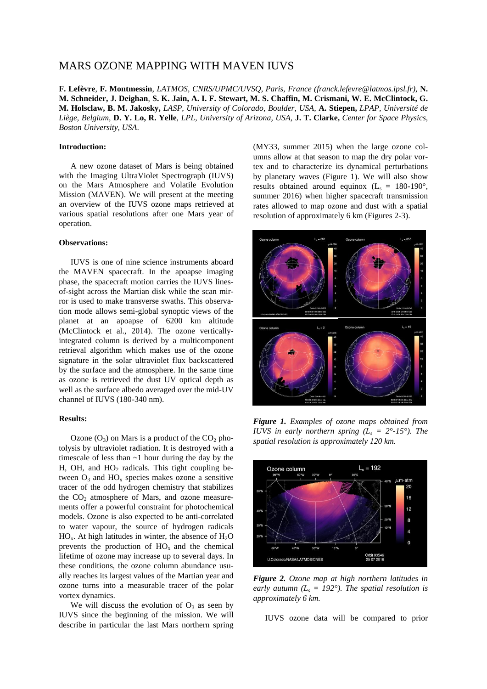## MARS OZONE MAPPING WITH MAVEN IUVS

**F. Lefèvre**, **F. Montmessin**, *LATMOS, CNRS/UPMC/UVSQ, Paris, France (franck.lefevre@latmos.ipsl.fr)*, **N. M. Schneider, J. Deighan**, **S. K. Jain, A. I. F. Stewart, M. S. Chaffin, M. Crismani, W. E. McClintock, G. M. Holsclaw, B. M. Jakosky,** *LASP, University of Colorado, Boulder, USA,* **A. Stiepen,** *LPAP, Université de Liège, Belgium,* **D. Y. Lo, R. Yelle**, *LPL, University of Arizona, USA,* **J. T. Clarke,** *Center for Space Physics, Boston University, USA*.

## **Introduction:**

A new ozone dataset of Mars is being obtained with the Imaging UltraViolet Spectrograph (IUVS) on the Mars Atmosphere and Volatile Evolution Mission (MAVEN). We will present at the meeting an overview of the IUVS ozone maps retrieved at various spatial resolutions after one Mars year of operation.

## **Observations:**

IUVS is one of nine science instruments aboard the MAVEN spacecraft. In the apoapse imaging phase, the spacecraft motion carries the IUVS linesof-sight across the Martian disk while the scan mirror is used to make transverse swaths. This observation mode allows semi-global synoptic views of the planet at an apoapse of 6200 km altitude (McClintock et al., 2014). The ozone verticallyintegrated column is derived by a multicomponent retrieval algorithm which makes use of the ozone signature in the solar ultraviolet flux backscattered by the surface and the atmosphere. In the same time as ozone is retrieved the dust UV optical depth as well as the surface albedo averaged over the mid-UV channel of IUVS (180-340 nm).

## **Results:**

Ozone  $(O_3)$  on Mars is a product of the  $CO_2$  photolysis by ultraviolet radiation. It is destroyed with a timescale of less than  $\sim$ 1 hour during the day by the H, OH, and  $HO<sub>2</sub>$  radicals. This tight coupling between  $O_3$  and  $HO_x$  species makes ozone a sensitive tracer of the odd hydrogen chemistry that stabilizes the  $CO<sub>2</sub>$  atmosphere of Mars, and ozone measurements offer a powerful constraint for photochemical models. Ozone is also expected to be anti-correlated to water vapour, the source of hydrogen radicals  $HO<sub>x</sub>$ . At high latitudes in winter, the absence of  $H<sub>2</sub>O$ prevents the production of  $HO_x$  and the chemical lifetime of ozone may increase up to several days. In these conditions, the ozone column abundance usually reaches its largest values of the Martian year and ozone turns into a measurable tracer of the polar vortex dynamics.

We will discuss the evolution of  $O_3$  as seen by IUVS since the beginning of the mission. We will describe in particular the last Mars northern spring (MY33, summer 2015) when the large ozone columns allow at that season to map the dry polar vortex and to characterize its dynamical perturbations by planetary waves (Figure 1). We will also show results obtained around equinox  $(L<sub>s</sub> = 180-190^{\circ})$ , summer 2016) when higher spacecraft transmission rates allowed to map ozone and dust with a spatial resolution of approximately 6 km (Figures 2-3).



*Figure 1. Examples of ozone maps obtained from IUVS in early northern spring*  $(L_s = 2^{\circ} - 15^{\circ})$ *. The spatial resolution is approximately 120 km.*



*Figure 2. Ozone map at high northern latitudes in early autumn (L<sup>s</sup> = 192°). The spatial resolution is approximately 6 km.*

IUVS ozone data will be compared to prior